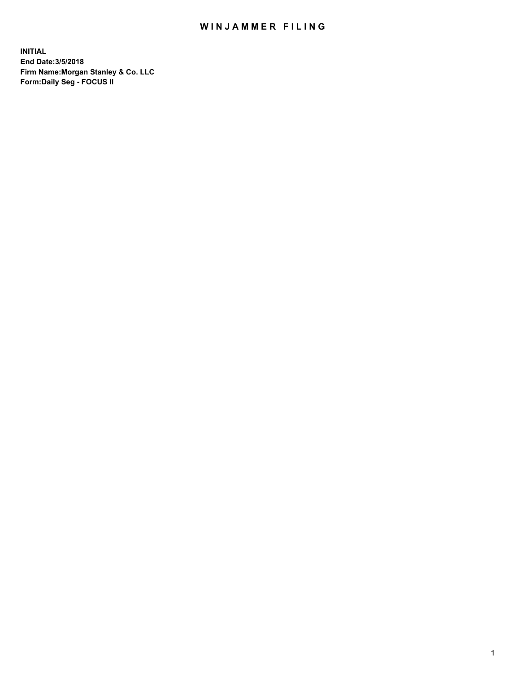## WIN JAMMER FILING

**INITIAL End Date:3/5/2018 Firm Name:Morgan Stanley & Co. LLC Form:Daily Seg - FOCUS II**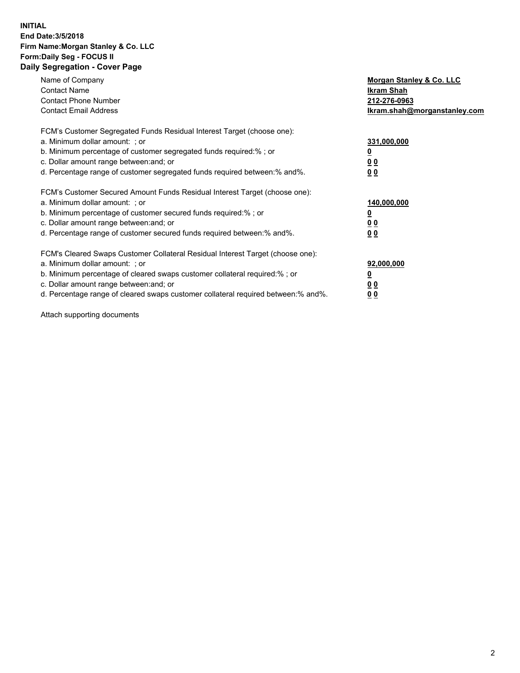### **INITIAL End Date:3/5/2018 Firm Name:Morgan Stanley & Co. LLC Form:Daily Seg - FOCUS II Daily Segregation - Cover Page**

| Name of Company                                                                   | Morgan Stanley & Co. LLC     |
|-----------------------------------------------------------------------------------|------------------------------|
| <b>Contact Name</b>                                                               | Ikram Shah                   |
| <b>Contact Phone Number</b>                                                       | 212-276-0963                 |
| <b>Contact Email Address</b>                                                      | Ikram.shah@morganstanley.com |
| FCM's Customer Segregated Funds Residual Interest Target (choose one):            |                              |
| a. Minimum dollar amount: : or                                                    | 331,000,000                  |
| b. Minimum percentage of customer segregated funds required:%; or                 |                              |
| c. Dollar amount range between: and; or                                           | <u>00</u>                    |
| d. Percentage range of customer segregated funds required between: % and %.       | 00                           |
| FCM's Customer Secured Amount Funds Residual Interest Target (choose one):        |                              |
| a. Minimum dollar amount: ; or                                                    | 140,000,000                  |
| b. Minimum percentage of customer secured funds required:%; or                    |                              |
| c. Dollar amount range between: and; or                                           | 00                           |
| d. Percentage range of customer secured funds required between: % and %.          | <u>00</u>                    |
| FCM's Cleared Swaps Customer Collateral Residual Interest Target (choose one):    |                              |
| a. Minimum dollar amount: ; or                                                    | 92,000,000                   |
| b. Minimum percentage of cleared swaps customer collateral required:% ; or        | <u>0</u>                     |
| c. Dollar amount range between: and; or                                           | <u>00</u>                    |
| d. Percentage range of cleared swaps customer collateral required between:% and%. | 00                           |

Attach supporting documents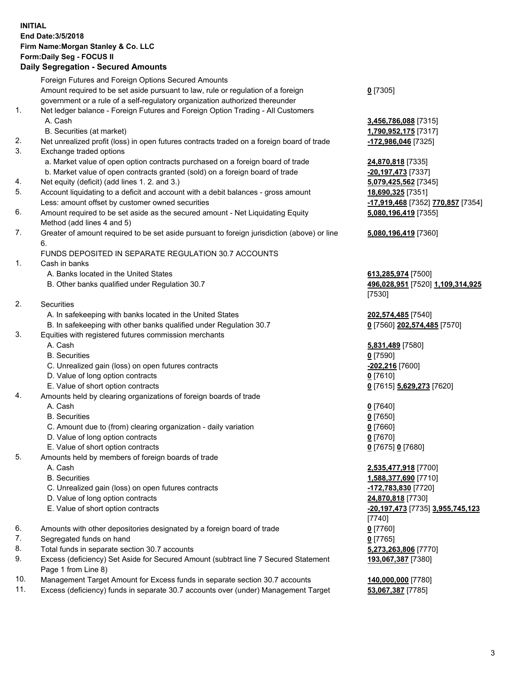## **INITIAL End Date:3/5/2018 Firm Name:Morgan Stanley & Co. LLC Form:Daily Seg - FOCUS II**

|    | <b>Daily Segregation - Secured Amounts</b>                                                                 |                                   |
|----|------------------------------------------------------------------------------------------------------------|-----------------------------------|
|    | Foreign Futures and Foreign Options Secured Amounts                                                        |                                   |
|    | Amount required to be set aside pursuant to law, rule or regulation of a foreign                           | $0$ [7305]                        |
|    | government or a rule of a self-regulatory organization authorized thereunder                               |                                   |
| 1. | Net ledger balance - Foreign Futures and Foreign Option Trading - All Customers                            |                                   |
|    | A. Cash                                                                                                    | 3,456,786,088 [7315]              |
|    | B. Securities (at market)                                                                                  | 1,790,952,175 [7317]              |
| 2. | Net unrealized profit (loss) in open futures contracts traded on a foreign board of trade                  | -172,986,046 [7325]               |
| 3. | Exchange traded options                                                                                    |                                   |
|    | a. Market value of open option contracts purchased on a foreign board of trade                             | 24,870,818 [7335]                 |
|    | b. Market value of open contracts granted (sold) on a foreign board of trade                               | -20,197,473 [7337]                |
| 4. | Net equity (deficit) (add lines 1.2. and 3.)                                                               | 5,079,425,562 [7345]              |
| 5. | Account liquidating to a deficit and account with a debit balances - gross amount                          | 18,690,325 [7351]                 |
|    | Less: amount offset by customer owned securities                                                           |                                   |
| 6. | Amount required to be set aside as the secured amount - Net Liquidating Equity                             | -17,919,468 [7352] 770,857 [7354] |
|    | Method (add lines 4 and 5)                                                                                 | 5,080,196,419 [7355]              |
| 7. | Greater of amount required to be set aside pursuant to foreign jurisdiction (above) or line                |                                   |
|    | 6.                                                                                                         | 5,080,196,419 [7360]              |
|    | FUNDS DEPOSITED IN SEPARATE REGULATION 30.7 ACCOUNTS                                                       |                                   |
| 1. | Cash in banks                                                                                              |                                   |
|    |                                                                                                            |                                   |
|    | A. Banks located in the United States                                                                      | 613,285,974 [7500]                |
|    | B. Other banks qualified under Regulation 30.7                                                             | 496,028,951 [7520] 1,109,314,925  |
| 2. |                                                                                                            | [7530]                            |
|    | Securities                                                                                                 |                                   |
|    | A. In safekeeping with banks located in the United States                                                  | 202,574,485 [7540]                |
|    | B. In safekeeping with other banks qualified under Regulation 30.7                                         | 0 [7560] 202,574,485 [7570]       |
| 3. | Equities with registered futures commission merchants                                                      |                                   |
|    | A. Cash                                                                                                    | 5,831,489 [7580]                  |
|    | <b>B.</b> Securities                                                                                       | $0$ [7590]                        |
|    | C. Unrealized gain (loss) on open futures contracts                                                        | -202,216 [7600]                   |
|    | D. Value of long option contracts                                                                          | $0$ [7610]                        |
|    | E. Value of short option contracts                                                                         | 0 [7615] 5,629,273 [7620]         |
| 4. | Amounts held by clearing organizations of foreign boards of trade                                          |                                   |
|    | A. Cash                                                                                                    | $0$ [7640]                        |
|    | <b>B.</b> Securities                                                                                       | $0$ [7650]                        |
|    | C. Amount due to (from) clearing organization - daily variation                                            | $0$ [7660]                        |
|    | D. Value of long option contracts                                                                          | $0$ [7670]                        |
|    | E. Value of short option contracts                                                                         | 0 [7675] 0 [7680]                 |
| 5. | Amounts held by members of foreign boards of trade                                                         |                                   |
|    | A. Cash                                                                                                    | 2,535,477,918 [7700]              |
|    | <b>B.</b> Securities                                                                                       | 1,588,377,690 [7710]              |
|    | C. Unrealized gain (loss) on open futures contracts                                                        | <u>-172,783,830</u> [7720]        |
|    | D. Value of long option contracts                                                                          | 24,870,818 [7730]                 |
|    | E. Value of short option contracts                                                                         | -20,197,473 [7735] 3,955,745,123  |
|    |                                                                                                            | $[7740]$                          |
| 6. | Amounts with other depositories designated by a foreign board of trade                                     | $0$ [7760]                        |
| 7. | Segregated funds on hand                                                                                   | $0$ [7765]                        |
| 8. | Total funds in separate section 30.7 accounts                                                              | 5,273,263,806 [7770]              |
| 9. | Excess (deficiency) Set Aside for Secured Amount (subtract line 7 Secured Statement<br>Page 1 from Line 8) | 193,067,387 [7380]                |

10. Management Target Amount for Excess funds in separate section 30.7 accounts **140,000,000** [7780]

11. Excess (deficiency) funds in separate 30.7 accounts over (under) Management Target **53,067,387** [7785]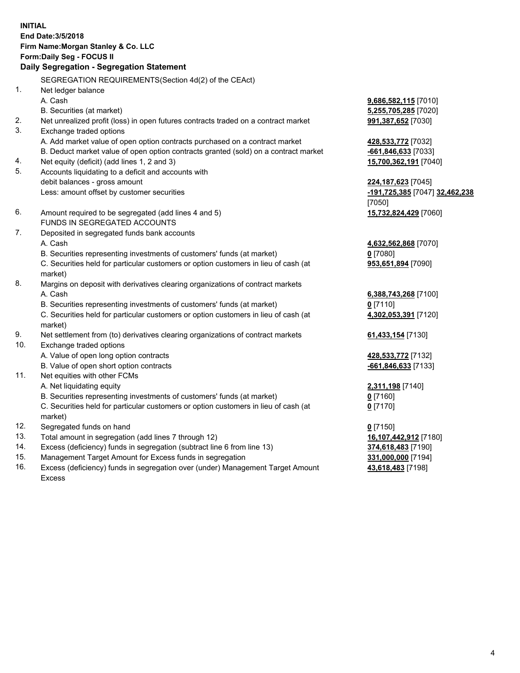## **INITIAL End Date:3/5/2018 Firm Name:Morgan Stanley & Co. LLC Form:Daily Seg - FOCUS II**

# **Daily Segregation - Segregation Statement**

SEGREGATION REQUIREMENTS(Section 4d(2) of the CEAct) 1. Net ledger balance A. Cash **9,686,582,115** [7010] B. Securities (at market) **5,255,705,285** [7020] 2. Net unrealized profit (loss) in open futures contracts traded on a contract market **991,387,652** [7030] 3. Exchange traded options A. Add market value of open option contracts purchased on a contract market **428,533,772** [7032] B. Deduct market value of open option contracts granted (sold) on a contract market **-661,846,633** [7033] 4. Net equity (deficit) (add lines 1, 2 and 3) **15,700,362,191** [7040] 5. Accounts liquidating to a deficit and accounts with debit balances - gross amount **224,187,623** [7045] Less: amount offset by customer securities **-191,725,385** [7047] **32,462,238** [7050] 6. Amount required to be segregated (add lines 4 and 5) **15,732,824,429** [7060] FUNDS IN SEGREGATED ACCOUNTS 7. Deposited in segregated funds bank accounts A. Cash **4,632,562,868** [7070] B. Securities representing investments of customers' funds (at market) **0** [7080] C. Securities held for particular customers or option customers in lieu of cash (at market) 8. Margins on deposit with derivatives clearing organizations of contract markets A. Cash **6,388,743,268** [7100] B. Securities representing investments of customers' funds (at market) **0** [7110] C. Securities held for particular customers or option customers in lieu of cash (at market) 9. Net settlement from (to) derivatives clearing organizations of contract markets **61,433,154** [7130] 10. Exchange traded options A. Value of open long option contracts **428,533,772** [7132] B. Value of open short option contracts **-661,846,633** [7133] 11. Net equities with other FCMs A. Net liquidating equity **2,311,198** [7140] B. Securities representing investments of customers' funds (at market) **0** [7160] C. Securities held for particular customers or option customers in lieu of cash (at market) **0** [7170] 12. Segregated funds on hand **0** [7150] 13. Total amount in segregation (add lines 7 through 12) **16,107,442,912** [7180] 14. Excess (deficiency) funds in segregation (subtract line 6 from line 13) **374,618,483** [7190] 15. Management Target Amount for Excess funds in segregation **331,000,000** [7194]

16. Excess (deficiency) funds in segregation over (under) Management Target Amount Excess

**953,651,894** [7090]

**4,302,053,391** [7120]

**43,618,483** [7198]